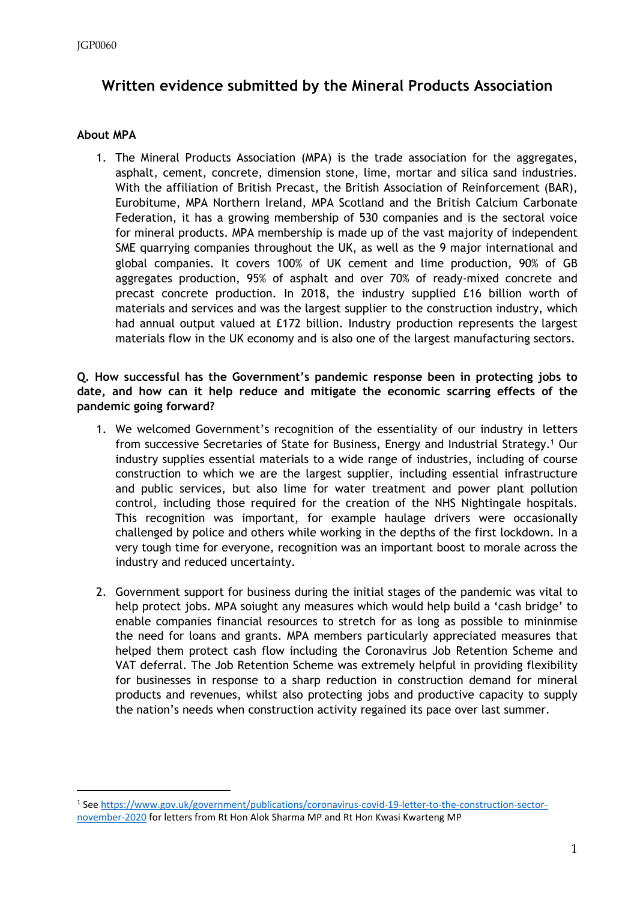# **Written evidence submitted by the Mineral Products Association**

## **About MPA**

1. The Mineral Products Association (MPA) is the trade association for the aggregates, asphalt, cement, concrete, dimension stone, lime, mortar and silica sand industries. With the affiliation of British Precast, the British Association of Reinforcement (BAR), Eurobitume, MPA Northern Ireland, MPA Scotland and the British Calcium Carbonate Federation, it has a growing membership of 530 companies and is the sectoral voice for mineral products. MPA membership is made up of the vast majority of independent SME quarrying companies throughout the UK, as well as the 9 major international and global companies. It covers 100% of UK cement and lime production, 90% of GB aggregates production, 95% of asphalt and over 70% of ready-mixed concrete and precast concrete production. In 2018, the industry supplied £16 billion worth of materials and services and was the largest supplier to the construction industry, which had annual output valued at £172 billion. Industry production represents the largest materials flow in the UK economy and is also one of the largest manufacturing sectors.

#### **Q. How successful has the Government's pandemic response been in protecting jobs to date, and how can it help reduce and mitigate the economic scarring effects of the pandemic going forward?**

- 1. We welcomed Government's recognition of the essentiality of our industry in letters from successive Secretaries of State for Business, Energy and Industrial Strategy.<sup>1</sup> Our industry supplies essential materials to a wide range of industries, including of course construction to which we are the largest supplier, including essential infrastructure and public services, but also lime for water treatment and power plant pollution control, including those required for the creation of the NHS Nightingale hospitals. This recognition was important, for example haulage drivers were occasionally challenged by police and others while working in the depths of the first lockdown. In a very tough time for everyone, recognition was an important boost to morale across the industry and reduced uncertainty.
- 2. Government support for business during the initial stages of the pandemic was vital to help protect jobs. MPA soiught any measures which would help build a 'cash bridge' to enable companies financial resources to stretch for as long as possible to mininmise the need for loans and grants. MPA members particularly appreciated measures that helped them protect cash flow including the Coronavirus Job Retention Scheme and VAT deferral. The Job Retention Scheme was extremely helpful in providing flexibility for businesses in response to a sharp reduction in construction demand for mineral products and revenues, whilst also protecting jobs and productive capacity to supply the nation's needs when construction activity regained its pace over last summer.

<sup>1</sup> See [https://www.gov.uk/government/publications/coronavirus-covid-19-letter-to-the-construction-sector](https://www.gov.uk/government/publications/coronavirus-covid-19-letter-to-the-construction-sector-november-2020)[november-2020](https://www.gov.uk/government/publications/coronavirus-covid-19-letter-to-the-construction-sector-november-2020) for letters from Rt Hon Alok Sharma MP and Rt Hon Kwasi Kwarteng MP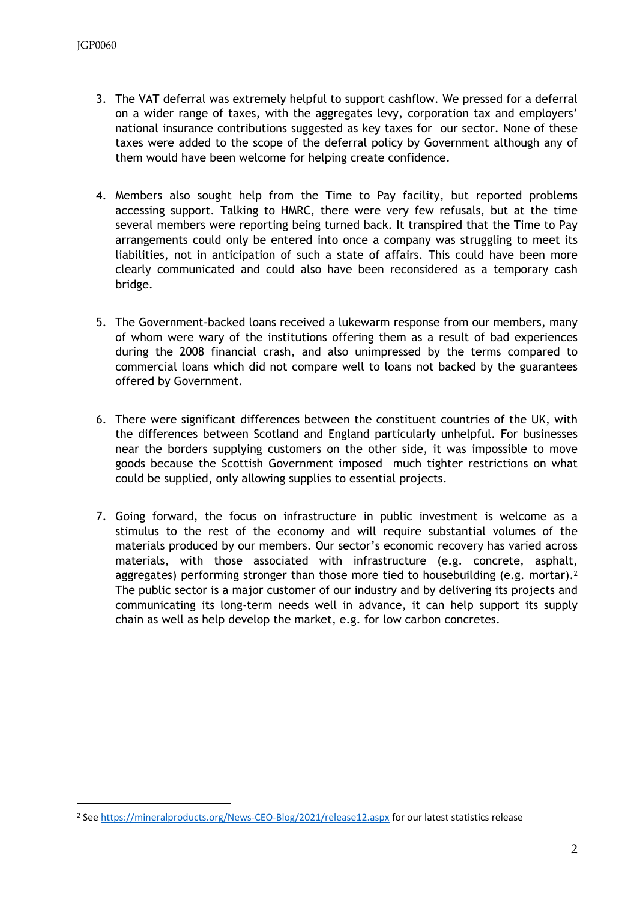- 3. The VAT deferral was extremely helpful to support cashflow. We pressed for a deferral on a wider range of taxes, with the aggregates levy, corporation tax and employers' national insurance contributions suggested as key taxes for our sector. None of these taxes were added to the scope of the deferral policy by Government although any of them would have been welcome for helping create confidence.
- 4. Members also sought help from the Time to Pay facility, but reported problems accessing support. Talking to HMRC, there were very few refusals, but at the time several members were reporting being turned back. It transpired that the Time to Pay arrangements could only be entered into once a company was struggling to meet its liabilities, not in anticipation of such a state of affairs. This could have been more clearly communicated and could also have been reconsidered as a temporary cash bridge.
- 5. The Government-backed loans received a lukewarm response from our members, many of whom were wary of the institutions offering them as a result of bad experiences during the 2008 financial crash, and also unimpressed by the terms compared to commercial loans which did not compare well to loans not backed by the guarantees offered by Government.
- 6. There were significant differences between the constituent countries of the UK, with the differences between Scotland and England particularly unhelpful. For businesses near the borders supplying customers on the other side, it was impossible to move goods because the Scottish Government imposed much tighter restrictions on what could be supplied, only allowing supplies to essential projects.
- 7. Going forward, the focus on infrastructure in public investment is welcome as a stimulus to the rest of the economy and will require substantial volumes of the materials produced by our members. Our sector's economic recovery has varied across materials, with those associated with infrastructure (e.g. concrete, asphalt, aggregates) performing stronger than those more tied to housebuilding (e.g. mortar).<sup>2</sup> The public sector is a major customer of our industry and by delivering its projects and communicating its long-term needs well in advance, it can help support its supply chain as well as help develop the market, e.g. for low carbon concretes.

<sup>2</sup> See <https://mineralproducts.org/News-CEO-Blog/2021/release12.aspx> for our latest statistics release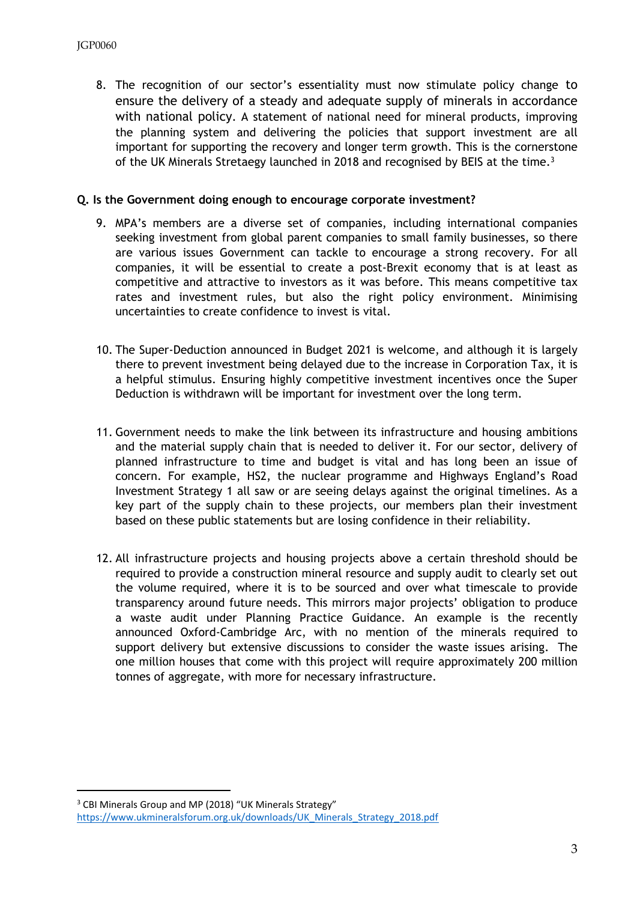8. The recognition of our sector's essentiality must now stimulate policy change to ensure the delivery of a steady and adequate supply of minerals in accordance with national policy. A statement of national need for mineral products, improving the planning system and delivering the policies that support investment are all important for supporting the recovery and longer term growth. This is the cornerstone of the UK Minerals Stretaegy launched in 2018 and recognised by BEIS at the time.<sup>3</sup>

#### **Q. Is the Government doing enough to encourage corporate investment?**

- 9. MPA's members are a diverse set of companies, including international companies seeking investment from global parent companies to small family businesses, so there are various issues Government can tackle to encourage a strong recovery. For all companies, it will be essential to create a post-Brexit economy that is at least as competitive and attractive to investors as it was before. This means competitive tax rates and investment rules, but also the right policy environment. Minimising uncertainties to create confidence to invest is vital.
- 10. The Super-Deduction announced in Budget 2021 is welcome, and although it is largely there to prevent investment being delayed due to the increase in Corporation Tax, it is a helpful stimulus. Ensuring highly competitive investment incentives once the Super Deduction is withdrawn will be important for investment over the long term.
- 11. Government needs to make the link between its infrastructure and housing ambitions and the material supply chain that is needed to deliver it. For our sector, delivery of planned infrastructure to time and budget is vital and has long been an issue of concern. For example, HS2, the nuclear programme and Highways England's Road Investment Strategy 1 all saw or are seeing delays against the original timelines. As a key part of the supply chain to these projects, our members plan their investment based on these public statements but are losing confidence in their reliability.
- 12. All infrastructure projects and housing projects above a certain threshold should be required to provide a construction mineral resource and supply audit to clearly set out the volume required, where it is to be sourced and over what timescale to provide transparency around future needs. This mirrors major projects' obligation to produce a waste audit under Planning Practice Guidance. An example is the recently announced Oxford-Cambridge Arc, with no mention of the minerals required to support delivery but extensive discussions to consider the waste issues arising. The one million houses that come with this project will require approximately 200 million tonnes of aggregate, with more for necessary infrastructure.

<sup>&</sup>lt;sup>3</sup> CBI Minerals Group and MP (2018) "UK Minerals Strategy" [https://www.ukmineralsforum.org.uk/downloads/UK\\_Minerals\\_Strategy\\_2018.pdf](https://www.ukmineralsforum.org.uk/downloads/UK_Minerals_Strategy_2018.pdf)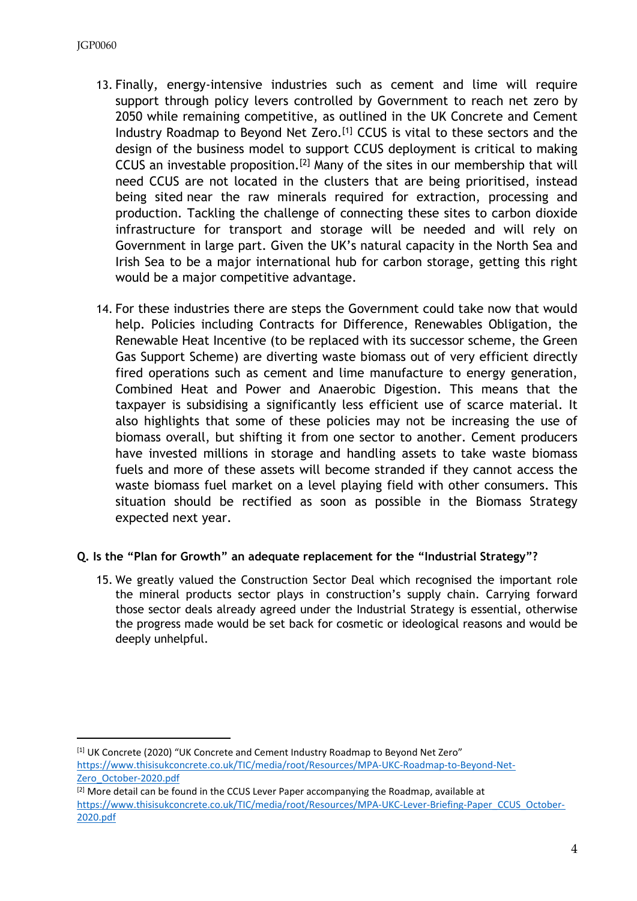- 13. Finally, energy-intensive industries such as cement and lime will require support through policy levers controlled by Government to reach net zero by 2050 while remaining competitive, as outlined in the UK Concrete and Cement Industry Roadmap to Beyond Net Zero.[1] CCUS is vital to these sectors and the design of the business model to support CCUS deployment is critical to making CCUS an investable proposition.[2] Many of the sites in our membership that will need CCUS are not located in the clusters that are being prioritised, instead being sited near the raw minerals required for extraction, processing and production. Tackling the challenge of connecting these sites to carbon dioxide infrastructure for transport and storage will be needed and will rely on Government in large part. Given the UK's natural capacity in the North Sea and Irish Sea to be a major international hub for carbon storage, getting this right would be a major competitive advantage.
- 14. For these industries there are steps the Government could take now that would help. Policies including Contracts for Difference, Renewables Obligation, the Renewable Heat Incentive (to be replaced with its successor scheme, the Green Gas Support Scheme) are diverting waste biomass out of very efficient directly fired operations such as cement and lime manufacture to energy generation, Combined Heat and Power and Anaerobic Digestion. This means that the taxpayer is subsidising a significantly less efficient use of scarce material. It also highlights that some of these policies may not be increasing the use of biomass overall, but shifting it from one sector to another. Cement producers have invested millions in storage and handling assets to take waste biomass fuels and more of these assets will become stranded if they cannot access the waste biomass fuel market on a level playing field with other consumers. This situation should be rectified as soon as possible in the Biomass Strategy expected next year.

# **Q. Is the "Plan for Growth" an adequate replacement for the "Industrial Strategy"?**

15. We greatly valued the Construction Sector Deal which recognised the important role the mineral products sector plays in construction's supply chain. Carrying forward those sector deals already agreed under the Industrial Strategy is essential, otherwise the progress made would be set back for cosmetic or ideological reasons and would be deeply unhelpful.

[1] UK Concrete (2020) "UK Concrete and Cement Industry Roadmap to Beyond Net Zero"

[https://www.thisisukconcrete.co.uk/TIC/media/root/Resources/MPA-UKC-Roadmap-to-Beyond-Net-](https://www.thisisukconcrete.co.uk/TIC/media/root/Resources/MPA-UKC-Roadmap-to-Beyond-Net-Zero_October-2020.pdf)[Zero\\_October-2020.pdf](https://www.thisisukconcrete.co.uk/TIC/media/root/Resources/MPA-UKC-Roadmap-to-Beyond-Net-Zero_October-2020.pdf)

<sup>&</sup>lt;sup>[2]</sup> More detail can be found in the CCUS Lever Paper accompanying the Roadmap, available at [https://www.thisisukconcrete.co.uk/TIC/media/root/Resources/MPA-UKC-Lever-Briefing-Paper\\_CCUS\\_October-](https://www.thisisukconcrete.co.uk/TIC/media/root/Resources/MPA-UKC-Lever-Briefing-Paper_CCUS_October-2020.pdf)[2020.pdf](https://www.thisisukconcrete.co.uk/TIC/media/root/Resources/MPA-UKC-Lever-Briefing-Paper_CCUS_October-2020.pdf)